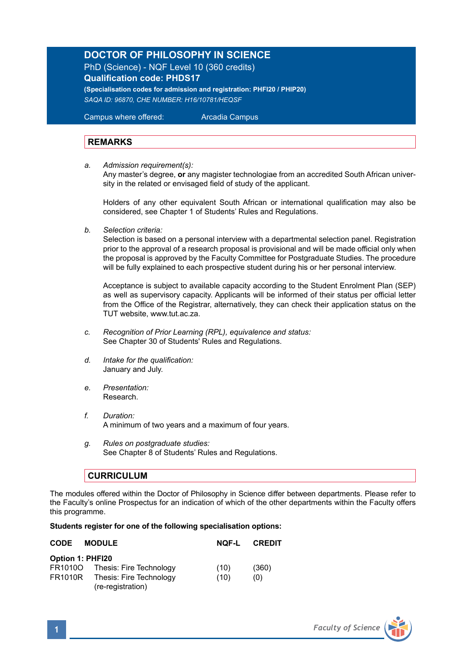## **DOCTOR OF PHILOSOPHY IN SCIENCE**

PhD (Science) - NQF Level 10 (360 credits) **Qualification code: PHDS17**

**(Specialisation codes for admission and registration: PHFI20 / PHIP20)** *SAQA ID: 96870, CHE NUMBER: H16/10781/HEQSF*

Campus where offered: Arcadia Campus

## **REMARKS**

*a. Admission requirement(s):* 

 Any master's degree, **or** any magister technologiae from an accredited South African univer sity in the related or envisaged field of study of the applicant.

Holders of any other equivalent South African or international qualification may also be considered, see Chapter 1 of Students' Rules and Regulations.

*b. Selection criteria:*

Selection is based on a personal interview with a departmental selection panel. Registration prior to the approval of a research proposal is provisional and will be made official only when the proposal is approved by the Faculty Committee for Postgraduate Studies. The procedure will be fully explained to each prospective student during his or her personal interview.

Acceptance is subject to available capacity according to the Student Enrolment Plan (SEP) as well as supervisory capacity. Applicants will be informed of their status per official letter from the Office of the Registrar, alternatively, they can check their application status on the TUT website, www.tut.ac.za.

- *c. Recognition of Prior Learning (RPL), equivalence and status:* See Chapter 30 of Students' Rules and Regulations.
- *d. Intake for the qualification:* January and July.
- *e. Presentation:*  Research.
- *f. Duration:* A minimum of two years and a maximum of four years.
- *g. Rules on postgraduate studies:* See Chapter 8 of Students' Rules and Regulations.

## **CURRICULUM**

The modules offered within the Doctor of Philosophy in Science differ between departments. Please refer to the Faculty's online Prospectus for an indication of which of the other departments within the Faculty offers this programme.

## **Students register for one of the following specialisation options:**

| <b>CODE</b>      | <b>MODULE</b>                                | NOF-L | <b>CREDIT</b> |
|------------------|----------------------------------------------|-------|---------------|
| Option 1: PHFI20 |                                              |       |               |
|                  | FR1010O Thesis: Fire Technology              | (10)  | (360)         |
| <b>FR1010R</b>   | Thesis: Fire Technology<br>(re-registration) | (10)  | (0)           |